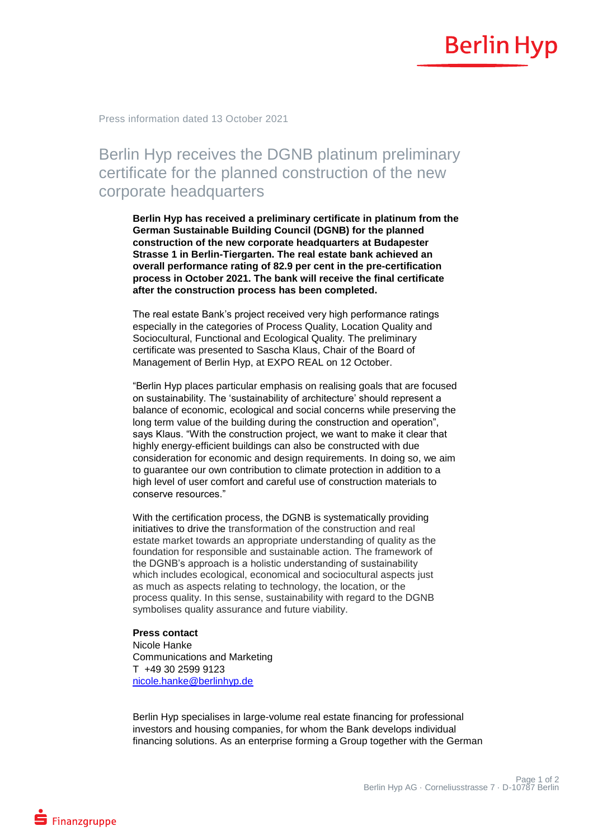## **Berlin Hyp**

Press information dated 13 October 2021

## Berlin Hyp receives the DGNB platinum preliminary certificate for the planned construction of the new corporate headquarters

**Berlin Hyp has received a preliminary certificate in platinum from the German Sustainable Building Council (DGNB) for the planned construction of the new corporate headquarters at Budapester Strasse 1 in Berlin-Tiergarten. The real estate bank achieved an overall performance rating of 82.9 per cent in the pre-certification process in October 2021. The bank will receive the final certificate after the construction process has been completed.**

The real estate Bank's project received very high performance ratings especially in the categories of Process Quality, Location Quality and Sociocultural, Functional and Ecological Quality. The preliminary certificate was presented to Sascha Klaus, Chair of the Board of Management of Berlin Hyp, at EXPO REAL on 12 October.

"Berlin Hyp places particular emphasis on realising goals that are focused on sustainability. The 'sustainability of architecture' should represent a balance of economic, ecological and social concerns while preserving the long term value of the building during the construction and operation", says Klaus. "With the construction project, we want to make it clear that highly energy-efficient buildings can also be constructed with due consideration for economic and design requirements. In doing so, we aim to guarantee our own contribution to climate protection in addition to a high level of user comfort and careful use of construction materials to conserve resources."

With the certification process, the DGNB is systematically providing initiatives to drive the transformation of the construction and real estate market towards an appropriate understanding of quality as the foundation for responsible and sustainable action. The framework of the DGNB's approach is a holistic understanding of sustainability which includes ecological, economical and sociocultural aspects just as much as aspects relating to technology, the location, or the process quality. In this sense, sustainability with regard to the DGNB symbolises quality assurance and future viability.

## **Press contact**

Nicole Hanke Communications and Marketing T +49 30 2599 9123 [nicole.hanke@berlinhyp.de](mailto:nicole.hanke@berlinhyp.de)

Berlin Hyp specialises in large-volume real estate financing for professional investors and housing companies, for whom the Bank develops individual financing solutions. As an enterprise forming a Group together with the German